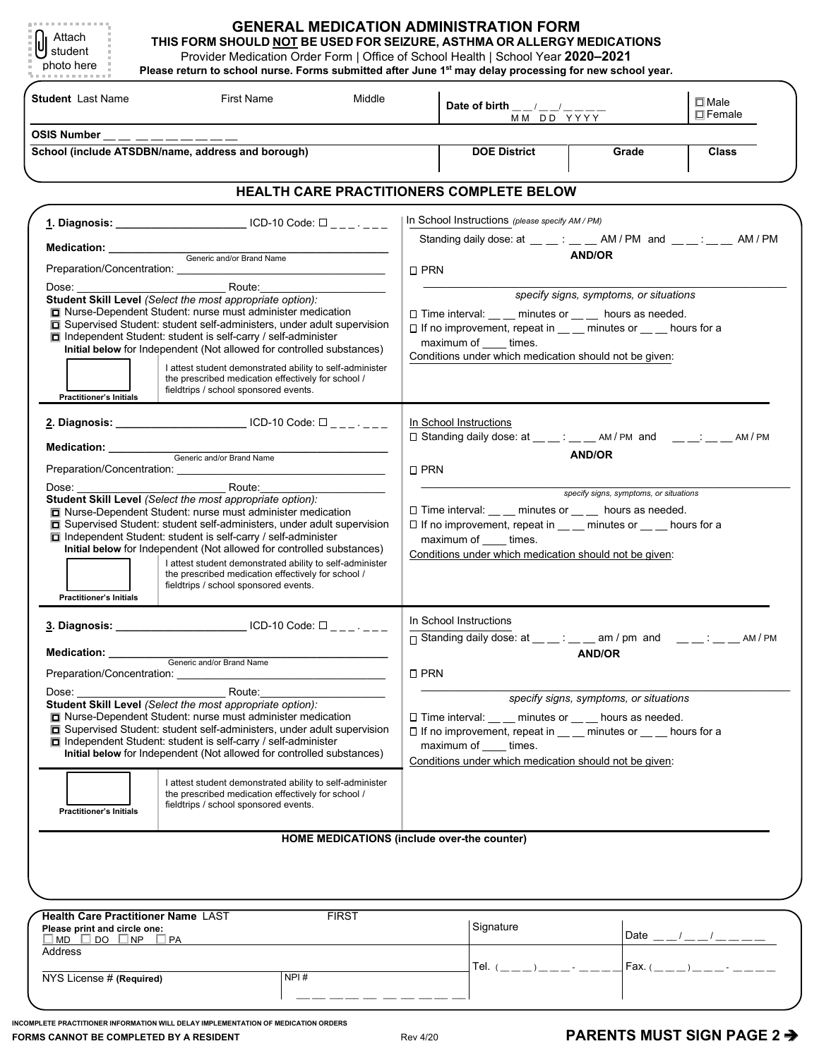| <b>Student</b> Last Name<br>First Name<br>Middle                                                                                                                                                                                                                                                                                                                                                                                                                                                                                                                                                                                                                                                  |                                                                                                                                                                                                                                                                                                                                                                                                                                                                                                                                                                                                                                                                                                                                             |                                                          | $\Box$ Male<br>Date of birth $\frac{\mu}{\mu}$ $\frac{\mu}{\mu}$ $\frac{\mu}{\mu}$<br>$\Box$ Female<br>MM DD YYYY                                                                                                                                                                                                                                                                                                                                                                                            |           |  |                                                    |
|---------------------------------------------------------------------------------------------------------------------------------------------------------------------------------------------------------------------------------------------------------------------------------------------------------------------------------------------------------------------------------------------------------------------------------------------------------------------------------------------------------------------------------------------------------------------------------------------------------------------------------------------------------------------------------------------------|---------------------------------------------------------------------------------------------------------------------------------------------------------------------------------------------------------------------------------------------------------------------------------------------------------------------------------------------------------------------------------------------------------------------------------------------------------------------------------------------------------------------------------------------------------------------------------------------------------------------------------------------------------------------------------------------------------------------------------------------|----------------------------------------------------------|--------------------------------------------------------------------------------------------------------------------------------------------------------------------------------------------------------------------------------------------------------------------------------------------------------------------------------------------------------------------------------------------------------------------------------------------------------------------------------------------------------------|-----------|--|----------------------------------------------------|
| OSIS Number __ _ _ _ _ _ _ _ _ _<br>School (include ATSDBN/name, address and borough)                                                                                                                                                                                                                                                                                                                                                                                                                                                                                                                                                                                                             |                                                                                                                                                                                                                                                                                                                                                                                                                                                                                                                                                                                                                                                                                                                                             |                                                          | <b>DOE District</b><br>Grade                                                                                                                                                                                                                                                                                                                                                                                                                                                                                 |           |  | <b>Class</b>                                       |
|                                                                                                                                                                                                                                                                                                                                                                                                                                                                                                                                                                                                                                                                                                   |                                                                                                                                                                                                                                                                                                                                                                                                                                                                                                                                                                                                                                                                                                                                             | HEALTH CARE PRACTITIONERS COMPLETE BELOW                 |                                                                                                                                                                                                                                                                                                                                                                                                                                                                                                              |           |  |                                                    |
| 1. Diagnosis: ___________________________ ICD-10 Code: □ _ _ _ _ _ _<br>Medication: Channel Channel Contract and/or Brand Name<br>Preparation/Concentration:<br>Route:<br>Dose:<br>Student Skill Level (Select the most appropriate option):<br>□ Nurse-Dependent Student: nurse must administer medication<br>□ Supervised Student: student self-administers, under adult supervision<br>$\Box$ Independent Student: student is self-carry / self-administer<br>Initial below for Independent (Not allowed for controlled substances)<br>I attest student demonstrated ability to self-administer<br>the prescribed medication effectively for school /<br>fieldtrips / school sponsored events. |                                                                                                                                                                                                                                                                                                                                                                                                                                                                                                                                                                                                                                                                                                                                             |                                                          | In School Instructions (please specify AM / PM)<br>Standing daily dose: at $\frac{1}{2}$ $\frac{1}{2}$ $\frac{1}{2}$ $\frac{1}{2}$ AM / PM and $\frac{1}{2}$ $\frac{1}{2}$ $\frac{1}{2}$ AM / PM<br><b>AND/OR</b><br>$\Box$ PRN<br>specify signs, symptoms, or situations<br>□ Time interval: __ _ minutes or __ _ hours as needed.<br>$\Box$ If no improvement, repeat in $\_\_\_\_$ minutes or $\_\_\_\_$ hours for a<br>maximum of _____ times.<br>Conditions under which medication should not be given: |           |  |                                                    |
| <b>Practitioner's Initials</b><br>2. Diagnosis: ___________________________ ICD-10 Code: □ _ _ _ _ _ _<br>Medication: __________<br>Generic and/or Brand Name<br>Student Skill Level (Select the most appropriate option):<br>Nurse-Dependent Student: nurse must administer medication<br>□ Supervised Student: student self-administers, under adult supervision<br>$\Box$ Independent Student: student is self-carry / self-administer<br>Initial below for Independent (Not allowed for controlled substances)<br>I attest student demonstrated ability to self-administer<br>the prescribed medication effectively for school /<br>fieldtrips / school sponsored events.                     |                                                                                                                                                                                                                                                                                                                                                                                                                                                                                                                                                                                                                                                                                                                                             |                                                          | In School Instructions<br><b>AND/OR</b><br>$\square$ PRN<br>specify signs, symptoms, or situations<br>$\Box$ Time interval: __ __ minutes or __ __ hours as needed.<br>$\square$ If no improvement, repeat in $\_\_$ minutes or $\_\_$ hours for a<br>maximum of _____ times.<br>Conditions under which medication should not be given:                                                                                                                                                                      |           |  |                                                    |
| <b>Practitioner's Initials</b><br>3. Diagnosis:<br>Medication: _________<br>Dose: $\overline{\phantom{a}}$<br><b>Practitioner's Initials</b>                                                                                                                                                                                                                                                                                                                                                                                                                                                                                                                                                      | Generic and/or Brand Name<br>Preparation/Concentration: example of the state of the state of the state of the state of the state of the state of the state of the state of the state of the state of the state of the state of the state of the state of th<br><b>Example 18 Route:</b><br>Student Skill Level (Select the most appropriate option):<br>□ Nurse-Dependent Student: nurse must administer medication<br>Supervised Student: student self-administers, under adult supervision<br>$\Box$ Independent Student: student is self-carry / self-administer<br>Initial below for Independent (Not allowed for controlled substances)<br>the prescribed medication effectively for school /<br>fieldtrips / school sponsored events. | I attest student demonstrated ability to self-administer | In School Instructions<br>□ Standing daily dose: at __ _: __ _ am / pm and __ _ _: __ _ _ AM / PM<br><b>AND/OR</b><br>$\square$ PRN<br>specify signs, symptoms, or situations<br>□ Time interval: ___ minutes or __ hours as needed.<br>□ If no improvement, repeat in __ _ minutes or __ _ hours for a<br>maximum of _____ times.<br>Conditions under which medication should not be given:                                                                                                                 |           |  |                                                    |
|                                                                                                                                                                                                                                                                                                                                                                                                                                                                                                                                                                                                                                                                                                   |                                                                                                                                                                                                                                                                                                                                                                                                                                                                                                                                                                                                                                                                                                                                             | HOME MEDICATIONS (include over-the counter)              |                                                                                                                                                                                                                                                                                                                                                                                                                                                                                                              |           |  |                                                    |
| Please print and circle one:<br>$\Box$ MD $\Box$ DO $\Box$ NP $\Box$ PA<br>Address                                                                                                                                                                                                                                                                                                                                                                                                                                                                                                                                                                                                                | Health Care Practitioner Name LAST                                                                                                                                                                                                                                                                                                                                                                                                                                                                                                                                                                                                                                                                                                          | <b>FIRST</b>                                             |                                                                                                                                                                                                                                                                                                                                                                                                                                                                                                              | Signature |  | Date __/__/_______<br> <br> Fax. (____)____- _____ |

 **INCOMPLETE PRACTITIONER INFORMATION WILL DELAY IMPLEMENTATION OF MEDICATION ORDERS FORMS CANNOT BE COMPLETED BY A RESIDENT CONVEX PREV 4/20** PARENTS MUST SIGN PAGE 2 →